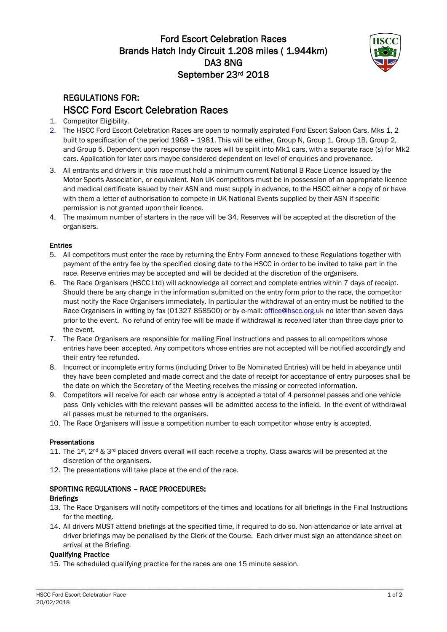# Ford Escort Celebration Races Brands Hatch Indy Circuit 1.208 miles (1.944km) DA3 8NG September 23rd 2018



# REGULATIONS FOR: HSCC Ford Escort Celebration Races

- 1. Competitor Eligibility.
- 2. The HSCC Ford Escort Celebration Races are open to normally aspirated Ford Escort Saloon Cars, Mks 1, 2 built to specification of the period 1968 - 1981. This will be either, Group N, Group 1, Group 1B, Group 2, and Group 5. Dependent upon response the races will be spilit into Mk1 cars, with a separate race (s) for Mk2 cars. Application for later cars maybe considered dependent on level of enquiries and provenance.
- 3. All entrants and drivers in this race must hold a minimum current National B Race Licence issued by the Motor Sports Association, or equivalent. Non UK competitors must be in possession of an appropriate licence and medical certificate issued by their ASN and must supply in advance, to the HSCC either a copy of or have with them a letter of authorisation to compete in UK National Events supplied by their ASN if specific permission is not granted upon their licence.
- 4. The maximum number of starters in the race will be 34. Reserves will be accepted at the discretion of the organisers.

## Entries

- 5. All competitors must enter the race by returning the Entry Form annexed to these Regulations together with payment of the entry fee by the specified closing date to the HSCC in order to be invited to take part in the race. Reserve entries may be accepted and will be decided at the discretion of the organisers.
- 6. The Race Organisers (HSCC Ltd) will acknowledge all correct and complete entries within 7 days of receipt. Should there be any change in the information submitted on the entry form prior to the race, the competitor must notify the Race Organisers immediately. In particular the withdrawal of an entry must be notified to the Race Organisers in writing by fax (01327 858500) or by e-mail: [office@hscc.org.uk](mailto:office@hscc.org.uk) no later than seven days prior to the event. No refund of entry fee will be made if withdrawal is received later than three days prior to the event.
- 7. The Race Organisers are responsible for mailing Final Instructions and passes to all competitors whose entries have been accepted. Any competitors whose entries are not accepted will be notified accordingly and their entry fee refunded.
- 8. Incorrect or incomplete entry forms (including Driver to Be Nominated Entries) will be held in abeyance until they have been completed and made correct and the date of receipt for acceptance of entry purposes shall be the date on which the Secretary of the Meeting receives the missing or corrected information.
- 9. Competitors will receive for each car whose entry is accepted a total of 4 personnel passes and one vehicle pass Only vehicles with the relevant passes will be admitted access to the infield. In the event of withdrawal all passes must be returned to the organisers.
- 10. The Race Organisers will issue a competition number to each competitor whose entry is accepted.

### Presentations

- 11. The 1<sup>st</sup>, 2<sup>nd</sup> & 3<sup>rd</sup> placed drivers overall will each receive a trophy. Class awards will be presented at the discretion of the organisers.
- 12. The presentations will take place at the end of the race.

## SPORTING REGULATIONS – RACE PROCEDURES:

### Briefings

- 13. The Race Organisers will notify competitors of the times and locations for all briefings in the Final Instructions for the meeting.
- 14. All drivers MUST attend briefings at the specified time, if required to do so. Non-attendance or late arrival at driver briefings may be penalised by the Clerk of the Course. Each driver must sign an attendance sheet on arrival at the Briefing.

### Qualifying Practice

15. The scheduled qualifying practice for the races are one 15 minute session.